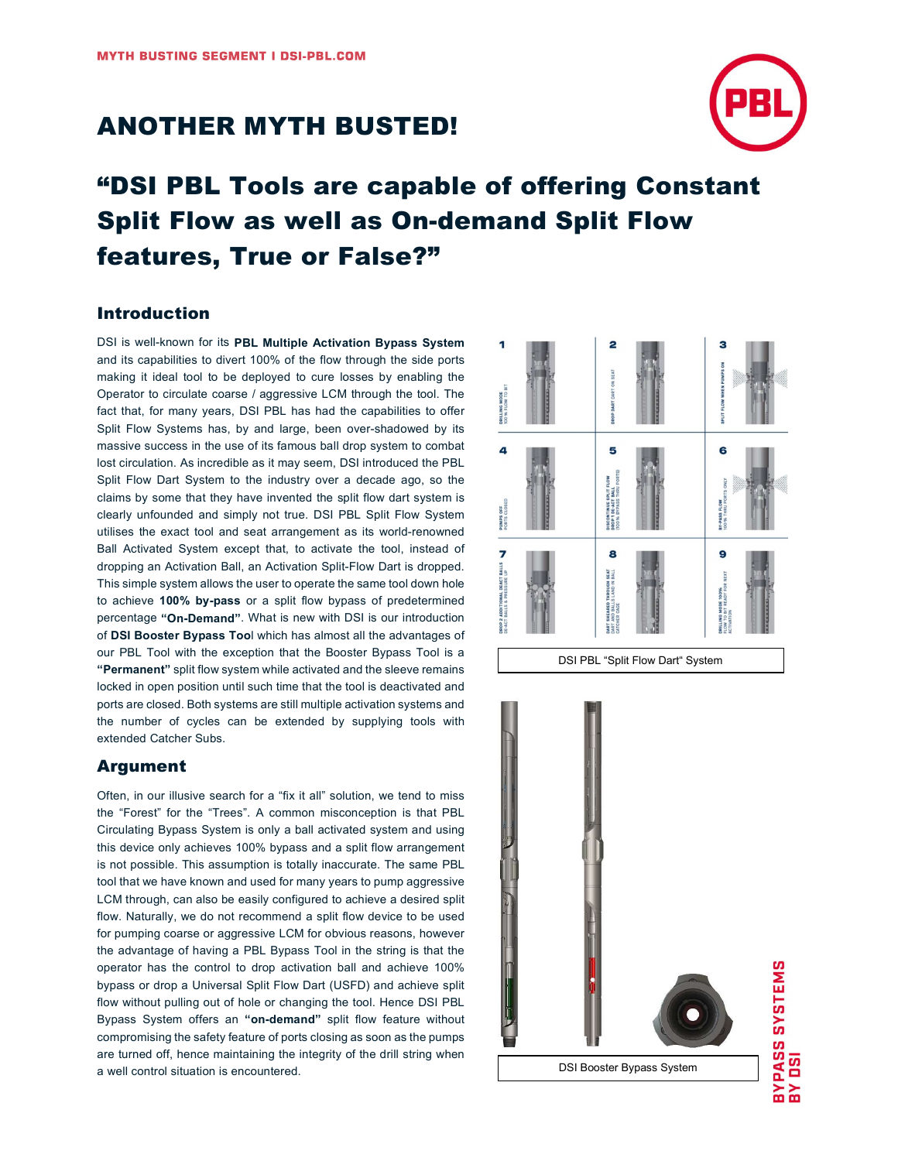## ANOTHER MYTH BUSTED!



# "DSI PBL Tools are capable of offering Constant Split Flow as well as On-demand Split Flow features, True or False?"

### Introduction

DSI is well-known for its PBL Multiple Activation Bypass System and its capabilities to divert 100% of the flow through the side ports making it ideal tool to be deployed to cure losses by enabling the Operator to circulate coarse / aggressive LCM through the tool. The fact that, for many years, DSI PBL has had the capabilities to offer Split Flow Systems has, by and large, been over-shadowed by its massive success in the use of its famous ball drop system to combat lost circulation. As incredible as it may seem, DSI introduced the PBL Split Flow Dart System to the industry over a decade ago, so the claims by some that they have invented the split flow dart system is clearly unfounded and simply not true. DSI PBL Split Flow System utilises the exact tool and seat arrangement as its world-renowned Ball Activated System except that, to activate the tool, instead of dropping an Activation Ball, an Activation Split-Flow Dart is dropped. This simple system allows the user to operate the same tool down hole to achieve 100% by-pass or a split flow bypass of predetermined percentage "On-Demand". What is new with DSI is our introduction of DSI Booster Bypass Tool which has almost all the advantages of our PBL Tool with the exception that the Booster Bypass Tool is a "Permanent" split flow system while activated and the sleeve remains locked in open position until such time that the tool is deactivated and ports are closed. Both systems are still multiple activation systems and the number of cycles can be extended by supplying tools with extended Catcher Subs.

### Argument

Often, in our illusive search for a "fix it all" solution, we tend to miss the "Forest" for the "Trees". A common misconception is that PBL Circulating Bypass System is only a ball activated system and using this device only achieves 100% bypass and a split flow arrangement is not possible. This assumption is totally inaccurate. The same PBL tool that we have known and used for many years to pump aggressive LCM through, can also be easily configured to achieve a desired split flow. Naturally, we do not recommend a split flow device to be used for pumping coarse or aggressive LCM for obvious reasons, however the advantage of having a PBL Bypass Tool in the string is that the operator has the control to drop activation ball and achieve 100% bypass or drop a Universal Split Flow Dart (USFD) and achieve split flow without pulling out of hole or changing the tool. Hence DSI PBL Bypass System offers an "on-demand" split flow feature without compromising the safety feature of ports closing as soon as the pumps are turned off, hence maintaining the integrity of the drill string when a well control situation is encountered.



DSI Booster Bypass System

BYPASS SYSTEMS<br>BY DSI